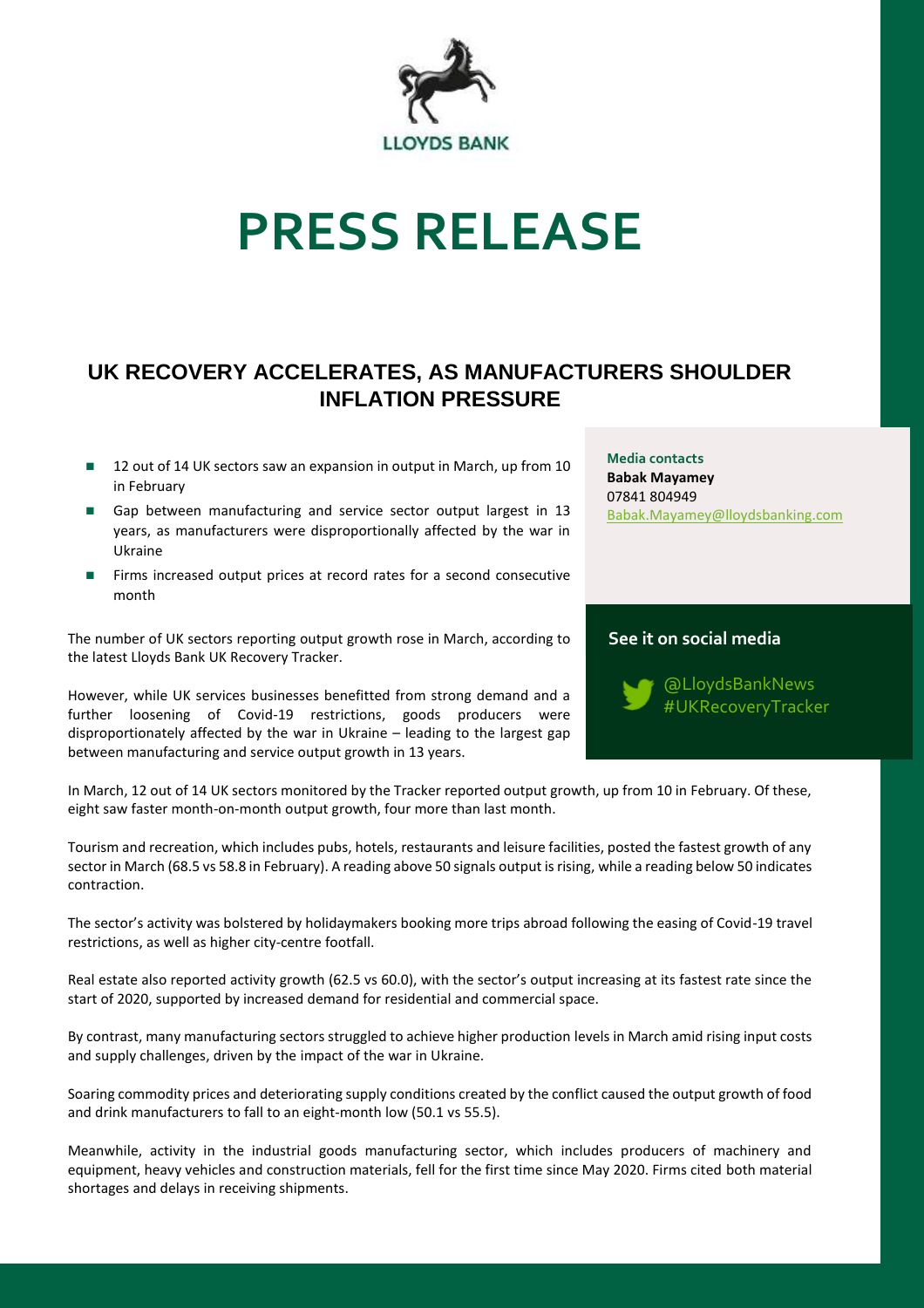

# **PRESS RELEASE**

## **UK RECOVERY ACCELERATES, AS MANUFACTURERS SHOULDER INFLATION PRESSURE**

- 12 out of 14 UK sectors saw an expansion in output in March, up from 10 in February
- Gap between manufacturing and service sector output largest in 13 years, as manufacturers were disproportionally affected by the war in Ukraine
- ◼ Firms increased output prices at record rates for a second consecutive month

The number of UK sectors reporting output growth rose in March, according to the latest Lloyds Bank UK Recovery Tracker.

However, while UK services businesses benefitted from strong demand and a further loosening of Covid-19 restrictions, goods producers were disproportionately affected by the war in Ukraine – leading to the largest gap between manufacturing and service output growth in 13 years.

**Media contacts Babak Mayamey** 07841 804949 [Babak.Mayamey@lloydsbanking.com](mailto:Babak.Mayamey@lloydsbanking.com)

### **See it on social media**



In March, 12 out of 14 UK sectors monitored by the Tracker reported output growth, up from 10 in February. Of these, eight saw faster month-on-month output growth, four more than last month.

Tourism and recreation, which includes pubs, hotels, restaurants and leisure facilities, posted the fastest growth of any sector in March (68.5 vs 58.8 in February). A reading above 50 signals output is rising, while a reading below 50 indicates contraction.

The sector's activity was bolstered by holidaymakers booking more trips abroad following the easing of Covid-19 travel restrictions, as well as higher city-centre footfall.

Real estate also reported activity growth (62.5 vs 60.0), with the sector's output increasing at its fastest rate since the start of 2020, supported by increased demand for residential and commercial space.

By contrast, many manufacturing sectors struggled to achieve higher production levels in March amid rising input costs and supply challenges, driven by the impact of the war in Ukraine.

Soaring commodity prices and deteriorating supply conditions created by the conflict caused the output growth of food and drink manufacturers to fall to an eight-month low (50.1 vs 55.5).

Meanwhile, activity in the industrial goods manufacturing sector, which includes producers of machinery and equipment, heavy vehicles and construction materials, fell for the first time since May 2020. Firms cited both material shortages and delays in receiving shipments.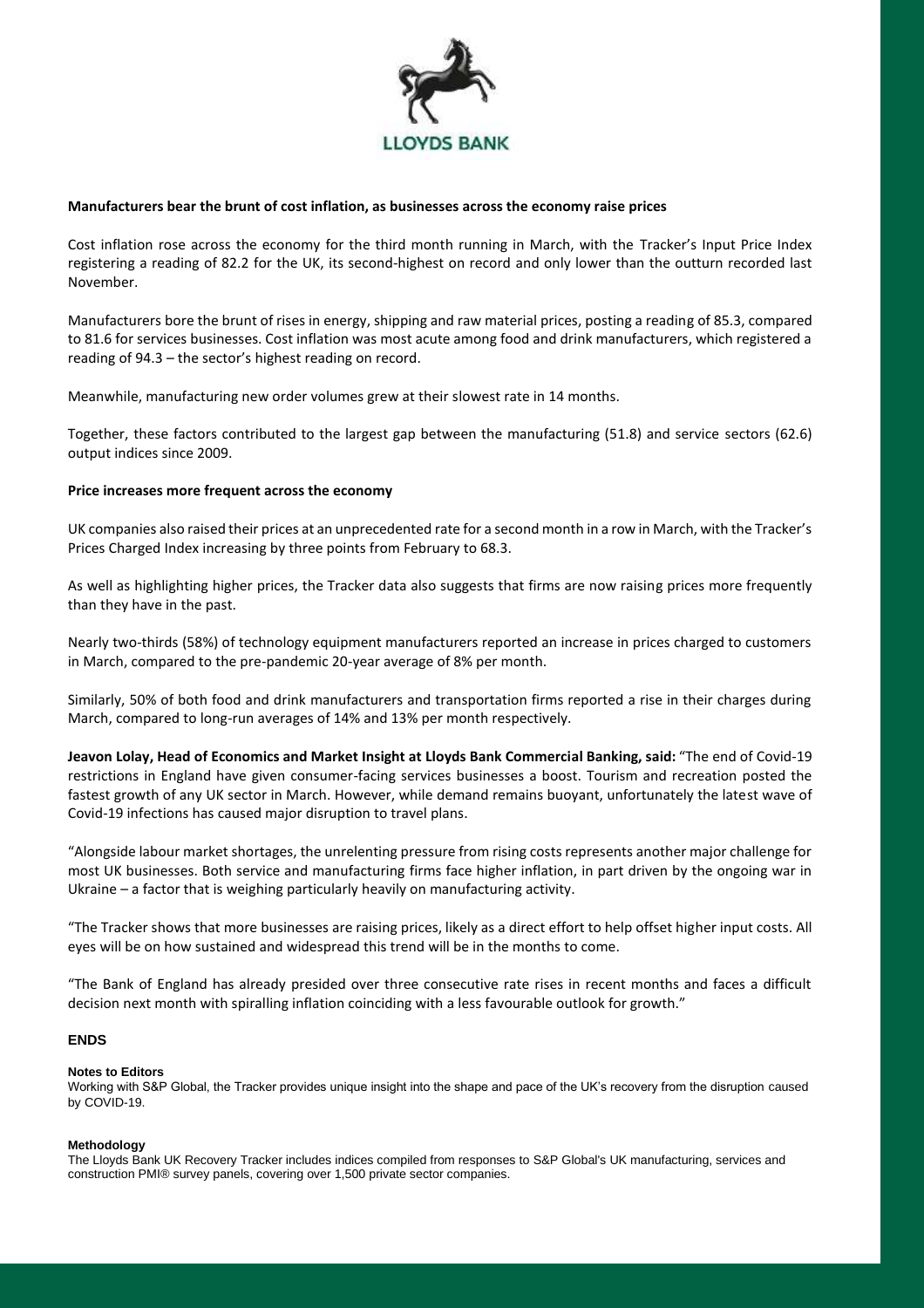

#### **Manufacturers bear the brunt of cost inflation, as businesses across the economy raise prices**

Cost inflation rose across the economy for the third month running in March, with the Tracker's Input Price Index registering a reading of 82.2 for the UK, its second-highest on record and only lower than the outturn recorded last November.

Manufacturers bore the brunt of rises in energy, shipping and raw material prices, posting a reading of 85.3, compared to 81.6 for services businesses. Cost inflation was most acute among food and drink manufacturers, which registered a reading of 94.3 – the sector's highest reading on record.

Meanwhile, manufacturing new order volumes grew at their slowest rate in 14 months.

Together, these factors contributed to the largest gap between the manufacturing (51.8) and service sectors (62.6) output indices since 2009.

#### **Price increases more frequent across the economy**

UK companies also raised their prices at an unprecedented rate for a second month in a row in March, with the Tracker's Prices Charged Index increasing by three points from February to 68.3.

As well as highlighting higher prices, the Tracker data also suggests that firms are now raising prices more frequently than they have in the past.

Nearly two-thirds (58%) of technology equipment manufacturers reported an increase in prices charged to customers in March, compared to the pre-pandemic 20-year average of 8% per month.

Similarly, 50% of both food and drink manufacturers and transportation firms reported a rise in their charges during March, compared to long-run averages of 14% and 13% per month respectively.

**Jeavon Lolay, Head of Economics and Market Insight at Lloyds Bank Commercial Banking, said:** "The end of Covid-19 restrictions in England have given consumer-facing services businesses a boost. Tourism and recreation posted the fastest growth of any UK sector in March. However, while demand remains buoyant, unfortunately the latest wave of Covid-19 infections has caused major disruption to travel plans.

"Alongside labour market shortages, the unrelenting pressure from rising costs represents another major challenge for most UK businesses. Both service and manufacturing firms face higher inflation, in part driven by the ongoing war in Ukraine – a factor that is weighing particularly heavily on manufacturing activity.

"The Tracker shows that more businesses are raising prices, likely as a direct effort to help offset higher input costs. All eyes will be on how sustained and widespread this trend will be in the months to come.

"The Bank of England has already presided over three consecutive rate rises in recent months and faces a difficult decision next month with spiralling inflation coinciding with a less favourable outlook for growth."

#### **ENDS**

#### **Notes to Editors**

Working with S&P Global, the Tracker provides unique insight into the shape and pace of the UK's recovery from the disruption caused by COVID-19.

#### **Methodology**

The Lloyds Bank UK Recovery Tracker includes indices compiled from responses to S&P Global's UK manufacturing, services and construction PMI® survey panels, covering over 1,500 private sector companies.